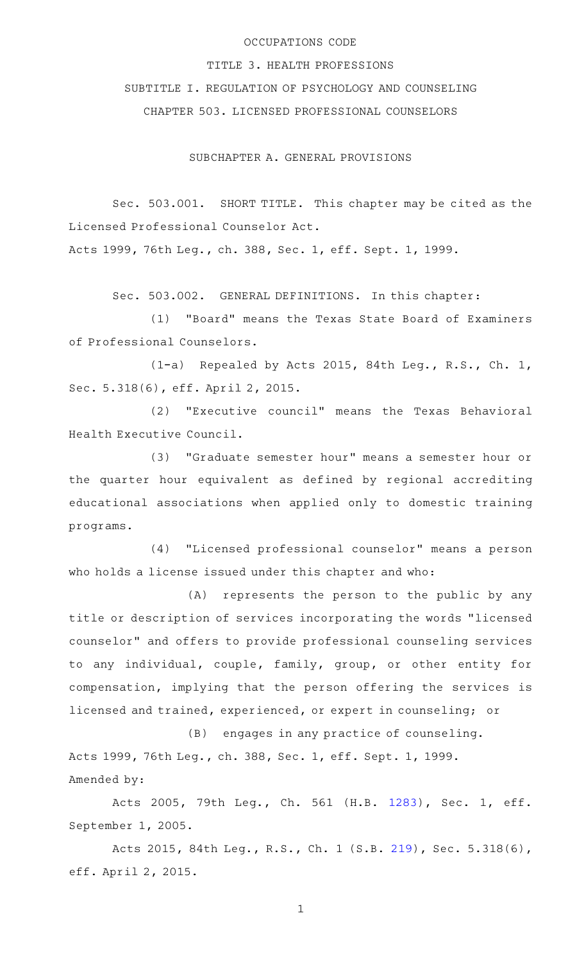### OCCUPATIONS CODE

TITLE 3. HEALTH PROFESSIONS

SUBTITLE I. REGULATION OF PSYCHOLOGY AND COUNSELING

CHAPTER 503. LICENSED PROFESSIONAL COUNSELORS

SUBCHAPTER A. GENERAL PROVISIONS

Sec. 503.001. SHORT TITLE. This chapter may be cited as the Licensed Professional Counselor Act.

Acts 1999, 76th Leg., ch. 388, Sec. 1, eff. Sept. 1, 1999.

Sec. 503.002. GENERAL DEFINITIONS. In this chapter:

(1) "Board" means the Texas State Board of Examiners of Professional Counselors.

 $(1-a)$  Repealed by Acts 2015, 84th Leg., R.S., Ch. 1, Sec. 5.318(6), eff. April 2, 2015.

(2) "Executive council" means the Texas Behavioral Health Executive Council.

(3) "Graduate semester hour" means a semester hour or the quarter hour equivalent as defined by regional accrediting educational associations when applied only to domestic training programs.

(4) "Licensed professional counselor" means a person who holds a license issued under this chapter and who:

(A) represents the person to the public by any title or description of services incorporating the words "licensed counselor" and offers to provide professional counseling services to any individual, couple, family, group, or other entity for compensation, implying that the person offering the services is licensed and trained, experienced, or expert in counseling; or

(B) engages in any practice of counseling. Acts 1999, 76th Leg., ch. 388, Sec. 1, eff. Sept. 1, 1999. Amended by:

Acts 2005, 79th Leg., Ch. 561 (H.B. [1283](http://www.legis.state.tx.us/tlodocs/79R/billtext/html/HB01283F.HTM)), Sec. 1, eff. September 1, 2005.

Acts 2015, 84th Leg., R.S., Ch. 1 (S.B. [219](http://www.legis.state.tx.us/tlodocs/84R/billtext/html/SB00219F.HTM)), Sec. 5.318(6), eff. April 2, 2015.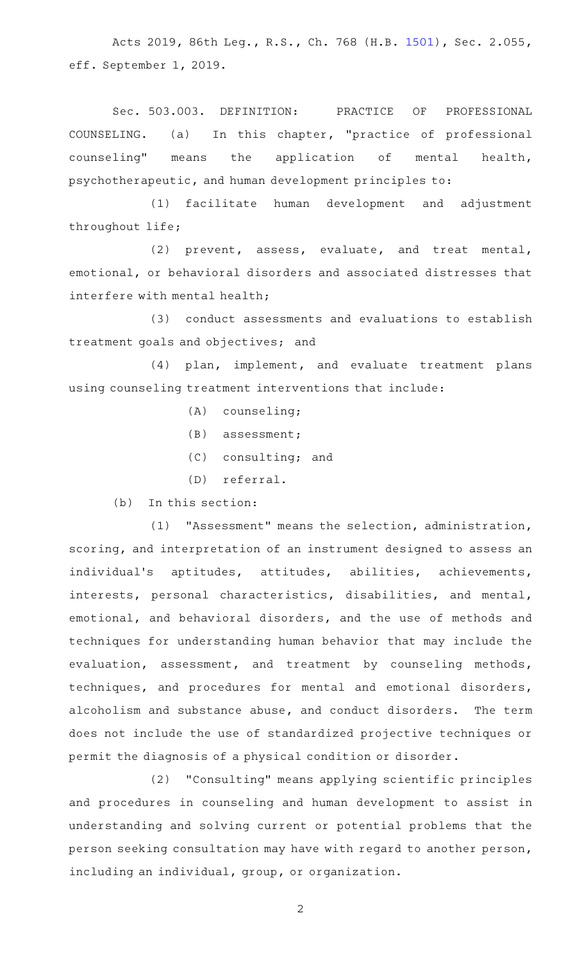Acts 2019, 86th Leg., R.S., Ch. 768 (H.B. [1501\)](http://www.legis.state.tx.us/tlodocs/86R/billtext/html/HB01501F.HTM), Sec. 2.055, eff. September 1, 2019.

Sec. 503.003. DEFINITION: PRACTICE OF PROFESSIONAL COUNSELING. (a) In this chapter, "practice of professional counseling" means the application of mental health, psychotherapeutic, and human development principles to:

(1) facilitate human development and adjustment throughout life;

(2) prevent, assess, evaluate, and treat mental, emotional, or behavioral disorders and associated distresses that interfere with mental health;

(3) conduct assessments and evaluations to establish treatment goals and objectives; and

(4) plan, implement, and evaluate treatment plans using counseling treatment interventions that include:

- $(A)$  counseling;
- $(B)$  assessment;
- (C) consulting; and
- (D) referral.

 $(b)$  In this section:

(1) "Assessment" means the selection, administration, scoring, and interpretation of an instrument designed to assess an individual's aptitudes, attitudes, abilities, achievements, interests, personal characteristics, disabilities, and mental, emotional, and behavioral disorders, and the use of methods and techniques for understanding human behavior that may include the evaluation, assessment, and treatment by counseling methods, techniques, and procedures for mental and emotional disorders, alcoholism and substance abuse, and conduct disorders. The term does not include the use of standardized projective techniques or permit the diagnosis of a physical condition or disorder.

(2) "Consulting" means applying scientific principles and procedures in counseling and human development to assist in understanding and solving current or potential problems that the person seeking consultation may have with regard to another person, including an individual, group, or organization.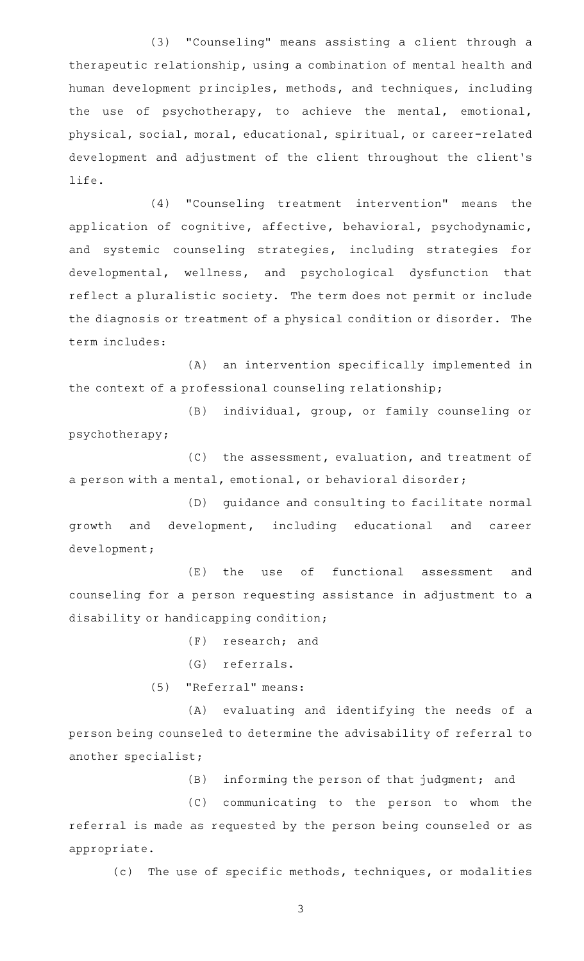(3) "Counseling" means assisting a client through a therapeutic relationship, using a combination of mental health and human development principles, methods, and techniques, including the use of psychotherapy, to achieve the mental, emotional, physical, social, moral, educational, spiritual, or career-related development and adjustment of the client throughout the client 's life.

(4) "Counseling treatment intervention" means the application of cognitive, affective, behavioral, psychodynamic, and systemic counseling strategies, including strategies for developmental, wellness, and psychological dysfunction that reflect a pluralistic society. The term does not permit or include the diagnosis or treatment of a physical condition or disorder. The term includes:

(A) an intervention specifically implemented in the context of a professional counseling relationship;

(B) individual, group, or family counseling or psychotherapy;

(C) the assessment, evaluation, and treatment of a person with a mental, emotional, or behavioral disorder;

(D) guidance and consulting to facilitate normal growth and development, including educational and career development;

(E) the use of functional assessment and counseling for a person requesting assistance in adjustment to a disability or handicapping condition;

 $(F)$  research; and

(G) referrals.

(5) "Referral" means:

(A) evaluating and identifying the needs of a person being counseled to determine the advisability of referral to another specialist;

(B) informing the person of that judgment; and

(C) communicating to the person to whom the referral is made as requested by the person being counseled or as appropriate.

(c) The use of specific methods, techniques, or modalities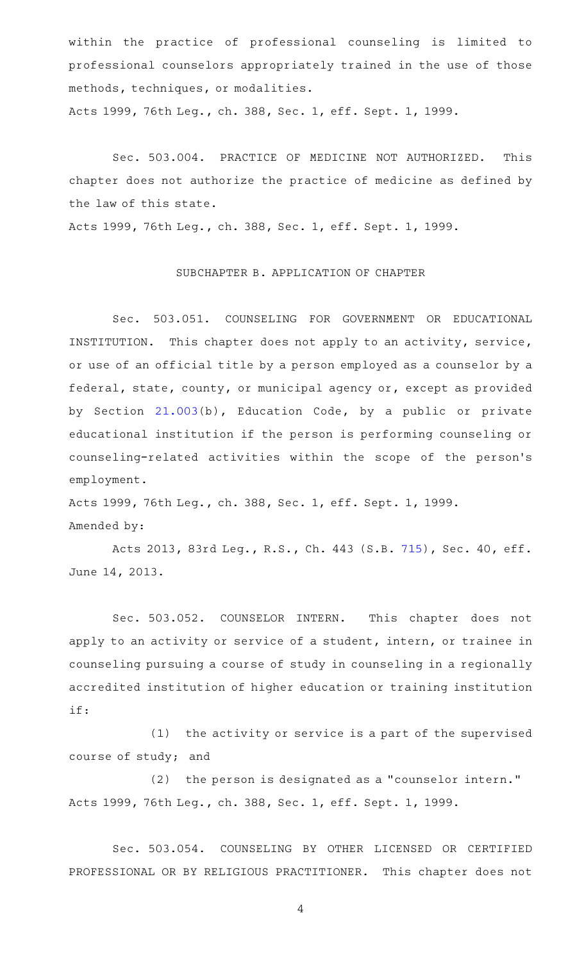within the practice of professional counseling is limited to professional counselors appropriately trained in the use of those methods, techniques, or modalities. Acts 1999, 76th Leg., ch. 388, Sec. 1, eff. Sept. 1, 1999.

Sec. 503.004. PRACTICE OF MEDICINE NOT AUTHORIZED. This chapter does not authorize the practice of medicine as defined by the law of this state.

Acts 1999, 76th Leg., ch. 388, Sec. 1, eff. Sept. 1, 1999.

### SUBCHAPTER B. APPLICATION OF CHAPTER

Sec. 503.051. COUNSELING FOR GOVERNMENT OR EDUCATIONAL INSTITUTION. This chapter does not apply to an activity, service, or use of an official title by a person employed as a counselor by a federal, state, county, or municipal agency or, except as provided by Section [21.003\(](http://www.statutes.legis.state.tx.us/GetStatute.aspx?Code=ED&Value=21.003)b), Education Code, by a public or private educational institution if the person is performing counseling or counseling-related activities within the scope of the person 's employment.

Acts 1999, 76th Leg., ch. 388, Sec. 1, eff. Sept. 1, 1999. Amended by:

Acts 2013, 83rd Leg., R.S., Ch. 443 (S.B. [715\)](http://www.legis.state.tx.us/tlodocs/83R/billtext/html/SB00715F.HTM), Sec. 40, eff. June 14, 2013.

Sec. 503.052. COUNSELOR INTERN. This chapter does not apply to an activity or service of a student, intern, or trainee in counseling pursuing a course of study in counseling in a regionally accredited institution of higher education or training institution if:

 $(1)$  the activity or service is a part of the supervised course of study; and

(2) the person is designated as a "counselor intern." Acts 1999, 76th Leg., ch. 388, Sec. 1, eff. Sept. 1, 1999.

Sec. 503.054. COUNSELING BY OTHER LICENSED OR CERTIFIED PROFESSIONAL OR BY RELIGIOUS PRACTITIONER. This chapter does not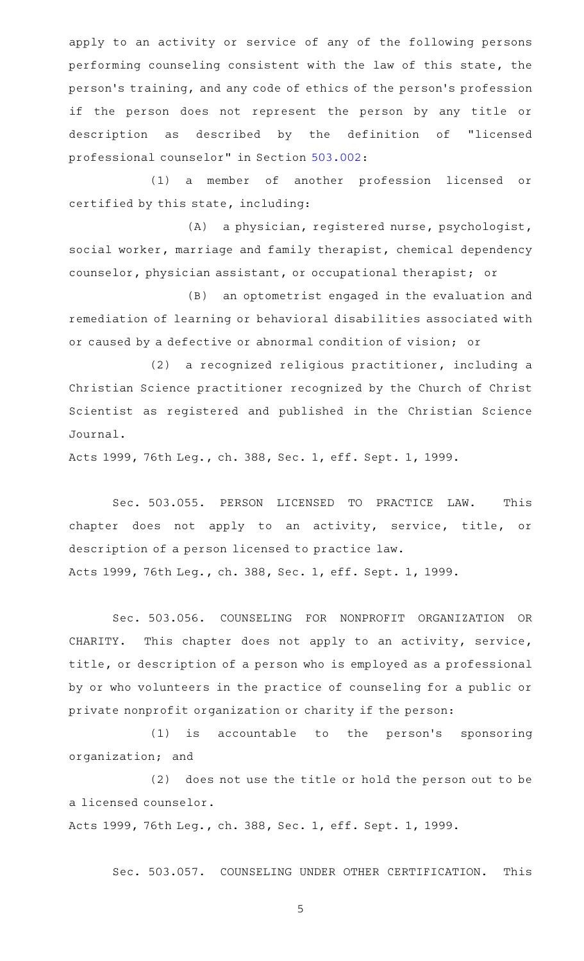apply to an activity or service of any of the following persons performing counseling consistent with the law of this state, the person 's training, and any code of ethics of the person 's profession if the person does not represent the person by any title or description as described by the definition of "licensed professional counselor" in Section [503.002:](http://www.statutes.legis.state.tx.us/GetStatute.aspx?Code=OC&Value=503.002)

(1) a member of another profession licensed or certified by this state, including:

(A) a physician, registered nurse, psychologist, social worker, marriage and family therapist, chemical dependency counselor, physician assistant, or occupational therapist; or

(B) an optometrist engaged in the evaluation and remediation of learning or behavioral disabilities associated with or caused by a defective or abnormal condition of vision; or

(2) a recognized religious practitioner, including a Christian Science practitioner recognized by the Church of Christ Scientist as registered and published in the Christian Science Journal.

Acts 1999, 76th Leg., ch. 388, Sec. 1, eff. Sept. 1, 1999.

Sec. 503.055. PERSON LICENSED TO PRACTICE LAW. This chapter does not apply to an activity, service, title, or description of a person licensed to practice law. Acts 1999, 76th Leg., ch. 388, Sec. 1, eff. Sept. 1, 1999.

Sec. 503.056. COUNSELING FOR NONPROFIT ORGANIZATION OR CHARITY. This chapter does not apply to an activity, service, title, or description of a person who is employed as a professional by or who volunteers in the practice of counseling for a public or private nonprofit organization or charity if the person:

 $(1)$  is accountable to the person's sponsoring organization; and

(2) does not use the title or hold the person out to be a licensed counselor.

Acts 1999, 76th Leg., ch. 388, Sec. 1, eff. Sept. 1, 1999.

Sec. 503.057. COUNSELING UNDER OTHER CERTIFICATION. This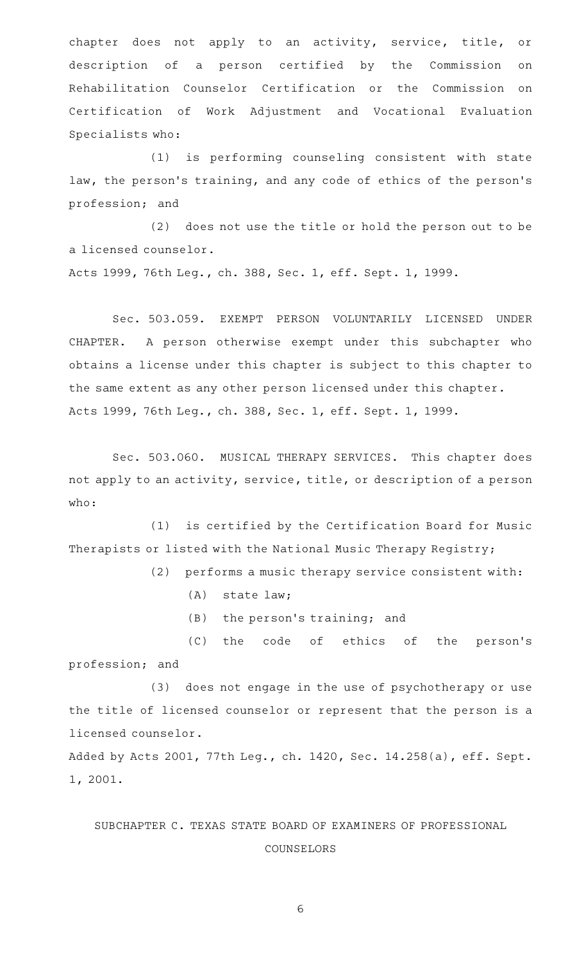chapter does not apply to an activity, service, title, or description of a person certified by the Commission on Rehabilitation Counselor Certification or the Commission on Certification of Work Adjustment and Vocational Evaluation Specialists who:

(1) is performing counseling consistent with state law, the person's training, and any code of ethics of the person's profession; and

(2) does not use the title or hold the person out to be a licensed counselor.

Acts 1999, 76th Leg., ch. 388, Sec. 1, eff. Sept. 1, 1999.

Sec. 503.059. EXEMPT PERSON VOLUNTARILY LICENSED UNDER CHAPTER. A person otherwise exempt under this subchapter who obtains a license under this chapter is subject to this chapter to the same extent as any other person licensed under this chapter. Acts 1999, 76th Leg., ch. 388, Sec. 1, eff. Sept. 1, 1999.

Sec. 503.060. MUSICAL THERAPY SERVICES. This chapter does not apply to an activity, service, title, or description of a person who:

(1) is certified by the Certification Board for Music Therapists or listed with the National Music Therapy Registry;

 $(2)$  performs a music therapy service consistent with:

- $(A)$  state law;
- (B) the person's training; and

(C) the code of ethics of the person's profession; and

(3) does not engage in the use of psychotherapy or use the title of licensed counselor or represent that the person is a licensed counselor.

Added by Acts 2001, 77th Leg., ch. 1420, Sec. 14.258(a), eff. Sept. 1, 2001.

# SUBCHAPTER C. TEXAS STATE BOARD OF EXAMINERS OF PROFESSIONAL COUNSELORS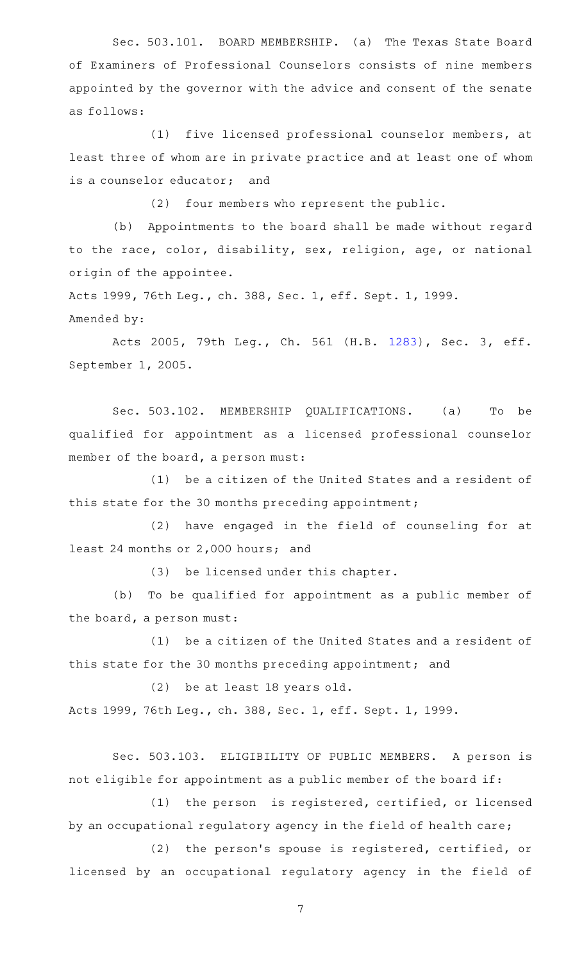Sec. 503.101. BOARD MEMBERSHIP. (a) The Texas State Board of Examiners of Professional Counselors consists of nine members appointed by the governor with the advice and consent of the senate as follows:

(1) five licensed professional counselor members, at least three of whom are in private practice and at least one of whom is a counselor educator; and

(2) four members who represent the public.

(b) Appointments to the board shall be made without regard to the race, color, disability, sex, religion, age, or national origin of the appointee.

Acts 1999, 76th Leg., ch. 388, Sec. 1, eff. Sept. 1, 1999. Amended by:

Acts 2005, 79th Leg., Ch. 561 (H.B. [1283](http://www.legis.state.tx.us/tlodocs/79R/billtext/html/HB01283F.HTM)), Sec. 3, eff. September 1, 2005.

Sec. 503.102. MEMBERSHIP QUALIFICATIONS. (a) To be qualified for appointment as a licensed professional counselor member of the board, a person must:

(1) be a citizen of the United States and a resident of this state for the 30 months preceding appointment;

(2) have engaged in the field of counseling for at least 24 months or 2,000 hours; and

(3) be licensed under this chapter.

(b) To be qualified for appointment as a public member of the board, a person must:

(1) be a citizen of the United States and a resident of this state for the 30 months preceding appointment; and

(2) be at least 18 years old. Acts 1999, 76th Leg., ch. 388, Sec. 1, eff. Sept. 1, 1999.

Sec. 503.103. ELIGIBILITY OF PUBLIC MEMBERS. A person is not eligible for appointment as a public member of the board if:

(1) the person is registered, certified, or licensed by an occupational regulatory agency in the field of health care;

(2) the person's spouse is registered, certified, or licensed by an occupational regulatory agency in the field of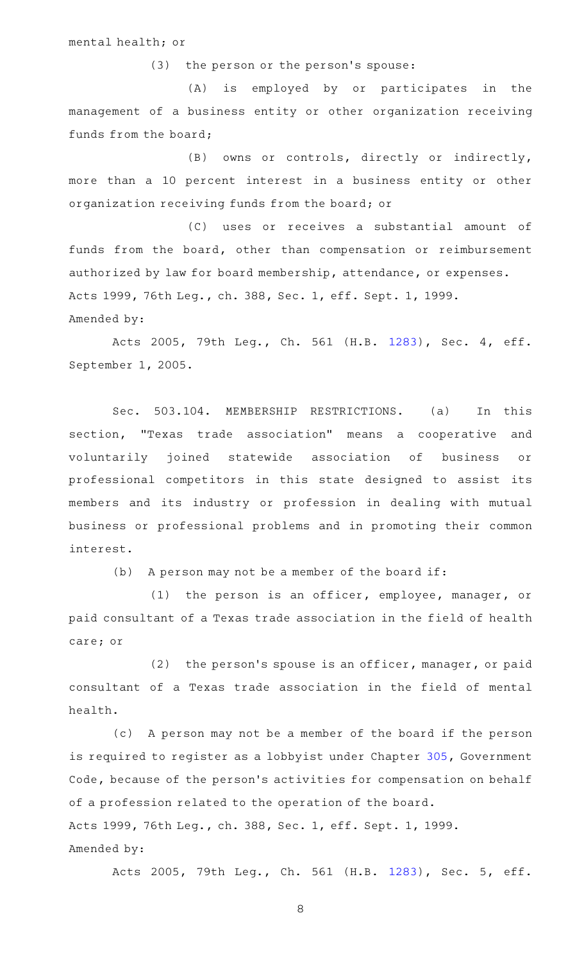mental health; or

(3) the person or the person's spouse:

(A) is employed by or participates in the management of a business entity or other organization receiving funds from the board;

(B) owns or controls, directly or indirectly, more than a 10 percent interest in a business entity or other organization receiving funds from the board; or

(C) uses or receives a substantial amount of funds from the board, other than compensation or reimbursement authorized by law for board membership, attendance, or expenses. Acts 1999, 76th Leg., ch. 388, Sec. 1, eff. Sept. 1, 1999. Amended by:

Acts 2005, 79th Leg., Ch. 561 (H.B. [1283](http://www.legis.state.tx.us/tlodocs/79R/billtext/html/HB01283F.HTM)), Sec. 4, eff. September 1, 2005.

Sec. 503.104. MEMBERSHIP RESTRICTIONS. (a) In this section, "Texas trade association" means a cooperative and voluntarily joined statewide association of business or professional competitors in this state designed to assist its members and its industry or profession in dealing with mutual business or professional problems and in promoting their common interest.

 $(b)$  A person may not be a member of the board if:

 $(1)$  the person is an officer, employee, manager, or paid consultant of a Texas trade association in the field of health care; or

(2) the person's spouse is an officer, manager, or paid consultant of a Texas trade association in the field of mental health.

(c) A person may not be a member of the board if the person is required to register as a lobbyist under Chapter [305](http://www.statutes.legis.state.tx.us/GetStatute.aspx?Code=GV&Value=305), Government Code, because of the person's activities for compensation on behalf of a profession related to the operation of the board. Acts 1999, 76th Leg., ch. 388, Sec. 1, eff. Sept. 1, 1999. Amended by:

Acts 2005, 79th Leg., Ch. 561 (H.B. [1283](http://www.legis.state.tx.us/tlodocs/79R/billtext/html/HB01283F.HTM)), Sec. 5, eff.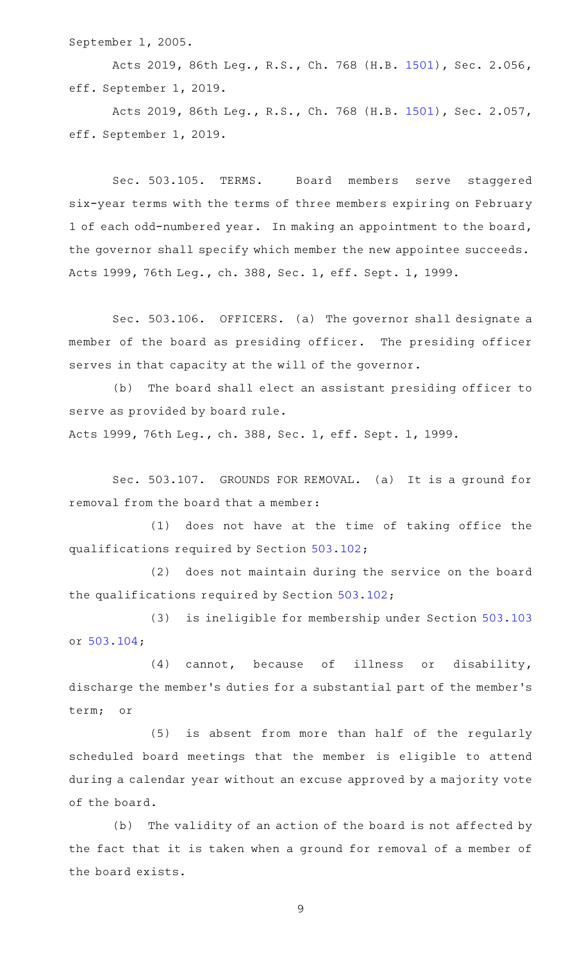September 1, 2005.

Acts 2019, 86th Leg., R.S., Ch. 768 (H.B. [1501\)](http://www.legis.state.tx.us/tlodocs/86R/billtext/html/HB01501F.HTM), Sec. 2.056, eff. September 1, 2019.

Acts 2019, 86th Leg., R.S., Ch. 768 (H.B. [1501\)](http://www.legis.state.tx.us/tlodocs/86R/billtext/html/HB01501F.HTM), Sec. 2.057, eff. September 1, 2019.

Sec. 503.105. TERMS. Board members serve staggered six-year terms with the terms of three members expiring on February 1 of each odd-numbered year. In making an appointment to the board, the governor shall specify which member the new appointee succeeds. Acts 1999, 76th Leg., ch. 388, Sec. 1, eff. Sept. 1, 1999.

Sec. 503.106. OFFICERS. (a) The governor shall designate a member of the board as presiding officer. The presiding officer serves in that capacity at the will of the governor.

(b) The board shall elect an assistant presiding officer to serve as provided by board rule.

Acts 1999, 76th Leg., ch. 388, Sec. 1, eff. Sept. 1, 1999.

Sec. 503.107. GROUNDS FOR REMOVAL. (a) It is a ground for removal from the board that a member:

(1) does not have at the time of taking office the qualifications required by Section [503.102;](http://www.statutes.legis.state.tx.us/GetStatute.aspx?Code=OC&Value=503.102)

(2) does not maintain during the service on the board the qualifications required by Section [503.102;](http://www.statutes.legis.state.tx.us/GetStatute.aspx?Code=OC&Value=503.102)

(3) is ineligible for membership under Section [503.103](http://www.statutes.legis.state.tx.us/GetStatute.aspx?Code=OC&Value=503.103) or [503.104;](http://www.statutes.legis.state.tx.us/GetStatute.aspx?Code=OC&Value=503.104)

(4) cannot, because of illness or disability, discharge the member 's duties for a substantial part of the member 's term; or

(5) is absent from more than half of the regularly scheduled board meetings that the member is eligible to attend during a calendar year without an excuse approved by a majority vote of the board.

(b) The validity of an action of the board is not affected by the fact that it is taken when a ground for removal of a member of the board exists.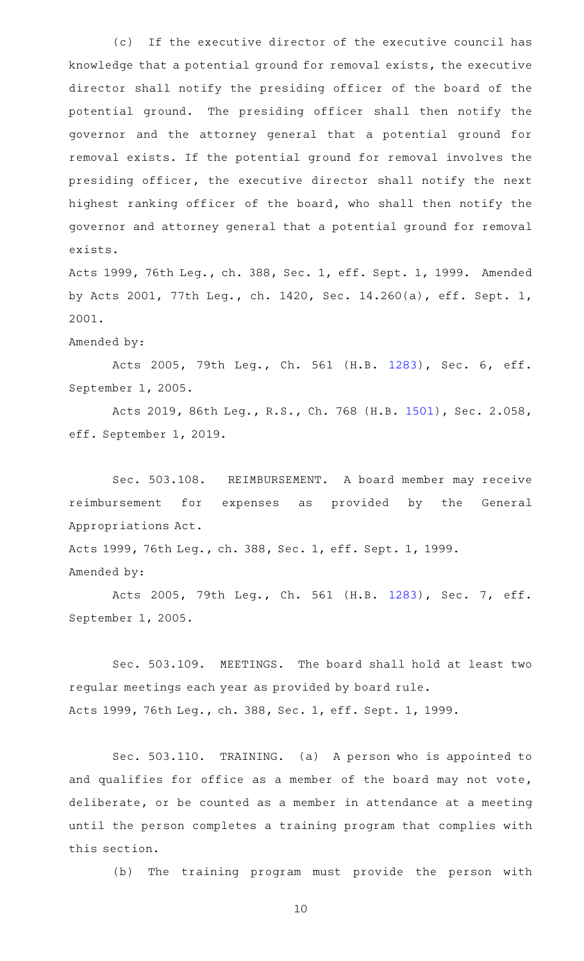(c) If the executive director of the executive council has knowledge that a potential ground for removal exists, the executive director shall notify the presiding officer of the board of the potential ground. The presiding officer shall then notify the governor and the attorney general that a potential ground for removal exists. If the potential ground for removal involves the presiding officer, the executive director shall notify the next highest ranking officer of the board, who shall then notify the governor and attorney general that a potential ground for removal exists.

Acts 1999, 76th Leg., ch. 388, Sec. 1, eff. Sept. 1, 1999. Amended by Acts 2001, 77th Leg., ch. 1420, Sec. 14.260(a), eff. Sept. 1, 2001.

Amended by:

Acts 2005, 79th Leg., Ch. 561 (H.B. [1283](http://www.legis.state.tx.us/tlodocs/79R/billtext/html/HB01283F.HTM)), Sec. 6, eff. September 1, 2005.

Acts 2019, 86th Leg., R.S., Ch. 768 (H.B. [1501\)](http://www.legis.state.tx.us/tlodocs/86R/billtext/html/HB01501F.HTM), Sec. 2.058, eff. September 1, 2019.

Sec. 503.108. REIMBURSEMENT. A board member may receive reimbursement for expenses as provided by the General Appropriations Act.

Acts 1999, 76th Leg., ch. 388, Sec. 1, eff. Sept. 1, 1999. Amended by:

Acts 2005, 79th Leg., Ch. 561 (H.B. [1283](http://www.legis.state.tx.us/tlodocs/79R/billtext/html/HB01283F.HTM)), Sec. 7, eff. September 1, 2005.

Sec. 503.109. MEETINGS. The board shall hold at least two regular meetings each year as provided by board rule. Acts 1999, 76th Leg., ch. 388, Sec. 1, eff. Sept. 1, 1999.

Sec. 503.110. TRAINING. (a) A person who is appointed to and qualifies for office as a member of the board may not vote, deliberate, or be counted as a member in attendance at a meeting until the person completes a training program that complies with this section.

(b) The training program must provide the person with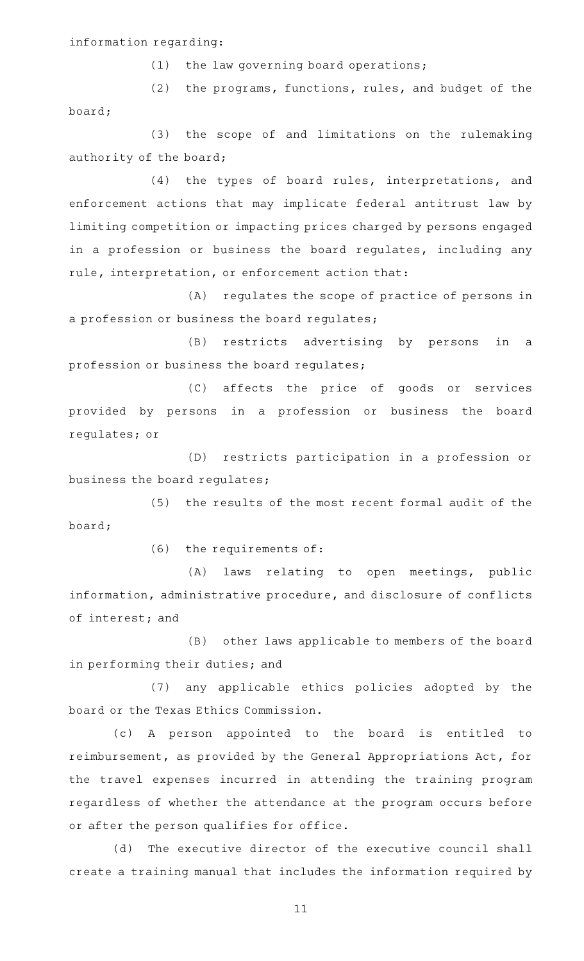### information regarding:

 $(1)$  the law governing board operations;

(2) the programs, functions, rules, and budget of the board;

(3) the scope of and limitations on the rulemaking authority of the board;

(4) the types of board rules, interpretations, and enforcement actions that may implicate federal antitrust law by limiting competition or impacting prices charged by persons engaged in a profession or business the board regulates, including any rule, interpretation, or enforcement action that:

(A) regulates the scope of practice of persons in a profession or business the board regulates;

(B) restricts advertising by persons in a profession or business the board regulates;

(C) affects the price of goods or services provided by persons in a profession or business the board regulates; or

(D) restricts participation in a profession or business the board regulates;

(5) the results of the most recent formal audit of the board;

(6) the requirements of:

(A) laws relating to open meetings, public information, administrative procedure, and disclosure of conflicts of interest; and

(B) other laws applicable to members of the board in performing their duties; and

(7) any applicable ethics policies adopted by the board or the Texas Ethics Commission.

(c)AAA person appointed to the board is entitled to reimbursement, as provided by the General Appropriations Act, for the travel expenses incurred in attending the training program regardless of whether the attendance at the program occurs before or after the person qualifies for office.

(d) The executive director of the executive council shall create a training manual that includes the information required by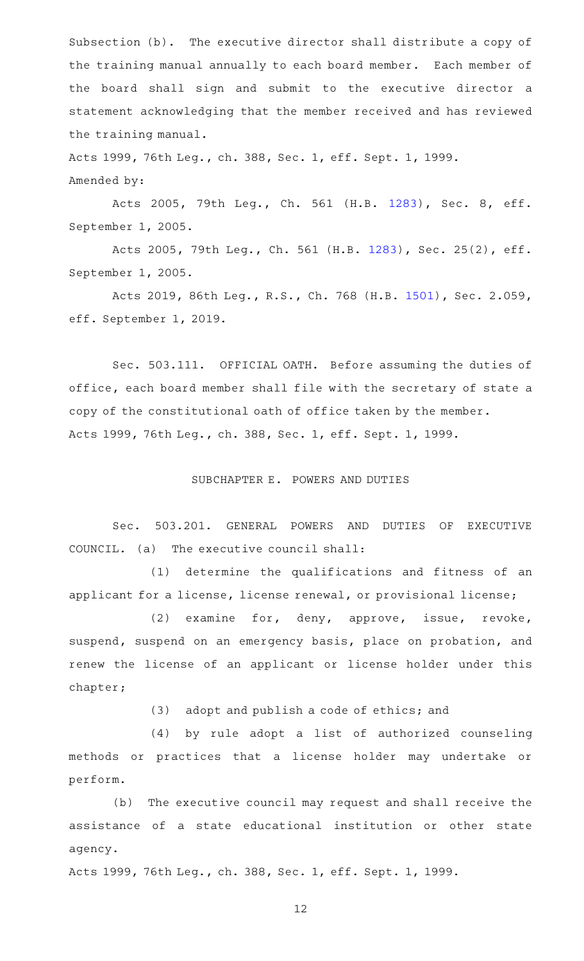Subsection (b). The executive director shall distribute a copy of the training manual annually to each board member. Each member of the board shall sign and submit to the executive director a statement acknowledging that the member received and has reviewed the training manual.

Acts 1999, 76th Leg., ch. 388, Sec. 1, eff. Sept. 1, 1999. Amended by:

Acts 2005, 79th Leg., Ch. 561 (H.B. [1283](http://www.legis.state.tx.us/tlodocs/79R/billtext/html/HB01283F.HTM)), Sec. 8, eff. September 1, 2005.

Acts 2005, 79th Leg., Ch. 561 (H.B. [1283](http://www.legis.state.tx.us/tlodocs/79R/billtext/html/HB01283F.HTM)), Sec. 25(2), eff. September 1, 2005.

Acts 2019, 86th Leg., R.S., Ch. 768 (H.B. [1501\)](http://www.legis.state.tx.us/tlodocs/86R/billtext/html/HB01501F.HTM), Sec. 2.059, eff. September 1, 2019.

Sec. 503.111. OFFICIAL OATH. Before assuming the duties of office, each board member shall file with the secretary of state a copy of the constitutional oath of office taken by the member. Acts 1999, 76th Leg., ch. 388, Sec. 1, eff. Sept. 1, 1999.

### SUBCHAPTER E. POWERS AND DUTIES

Sec. 503.201. GENERAL POWERS AND DUTIES OF EXECUTIVE COUNCIL.  $(a)$  The executive council shall:

(1) determine the qualifications and fitness of an applicant for a license, license renewal, or provisional license;

(2) examine for, deny, approve, issue, revoke, suspend, suspend on an emergency basis, place on probation, and renew the license of an applicant or license holder under this chapter;

(3) adopt and publish a code of ethics; and

(4) by rule adopt a list of authorized counseling methods or practices that a license holder may undertake or perform.

(b) The executive council may request and shall receive the assistance of a state educational institution or other state agency.

Acts 1999, 76th Leg., ch. 388, Sec. 1, eff. Sept. 1, 1999.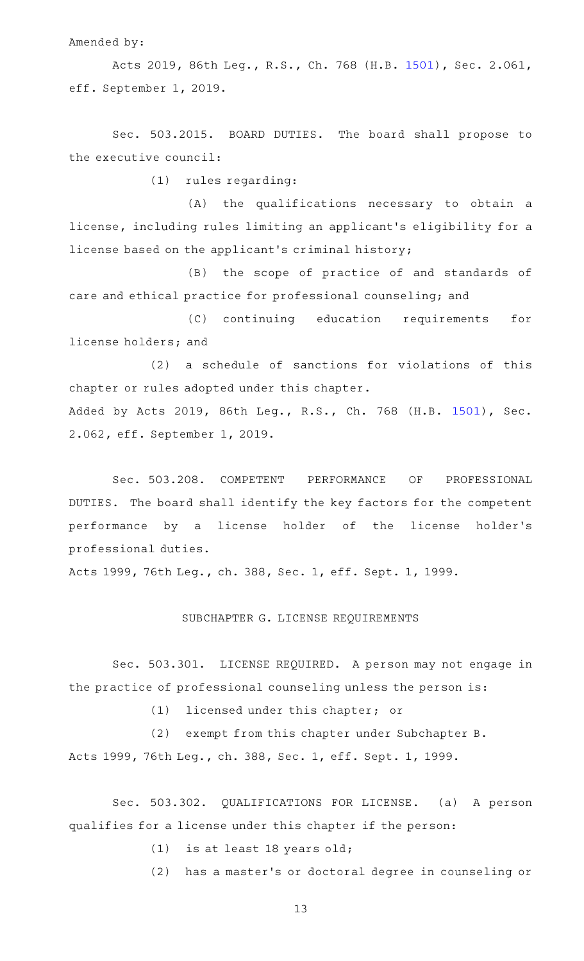Amended by:

Acts 2019, 86th Leg., R.S., Ch. 768 (H.B. [1501\)](http://www.legis.state.tx.us/tlodocs/86R/billtext/html/HB01501F.HTM), Sec. 2.061, eff. September 1, 2019.

Sec. 503.2015. BOARD DUTIES. The board shall propose to the executive council:

 $(1)$  rules regarding:

(A) the qualifications necessary to obtain a license, including rules limiting an applicant 's eligibility for a license based on the applicant 's criminal history;

(B) the scope of practice of and standards of care and ethical practice for professional counseling; and

(C) continuing education requirements for license holders; and

 $(2)$  a schedule of sanctions for violations of this chapter or rules adopted under this chapter. Added by Acts 2019, 86th Leg., R.S., Ch. 768 (H.B. [1501](http://www.legis.state.tx.us/tlodocs/86R/billtext/html/HB01501F.HTM)), Sec. 2.062, eff. September 1, 2019.

Sec. 503.208. COMPETENT PERFORMANCE OF PROFESSIONAL DUTIES. The board shall identify the key factors for the competent performance by a license holder of the license holder 's professional duties.

Acts 1999, 76th Leg., ch. 388, Sec. 1, eff. Sept. 1, 1999.

### SUBCHAPTER G. LICENSE REQUIREMENTS

Sec. 503.301. LICENSE REQUIRED. A person may not engage in the practice of professional counseling unless the person is:

(1) licensed under this chapter; or

(2) exempt from this chapter under Subchapter B. Acts 1999, 76th Leg., ch. 388, Sec. 1, eff. Sept. 1, 1999.

Sec. 503.302. QUALIFICATIONS FOR LICENSE. (a) A person qualifies for a license under this chapter if the person:

 $(1)$  is at least 18 years old;

(2) has a master's or doctoral degree in counseling or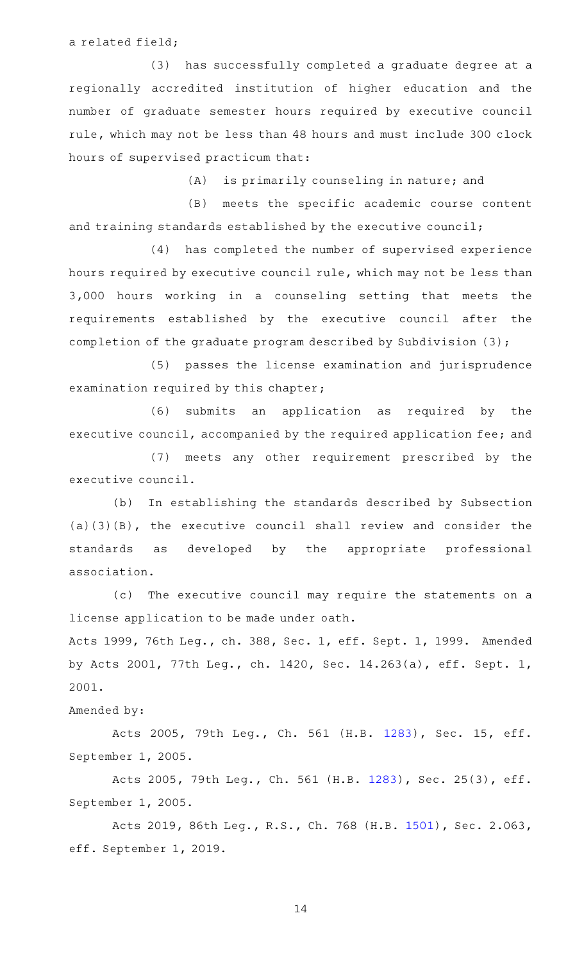a related field;

(3) has successfully completed a graduate degree at a regionally accredited institution of higher education and the number of graduate semester hours required by executive council rule, which may not be less than 48 hours and must include 300 clock hours of supervised practicum that:

(A) is primarily counseling in nature; and

(B) meets the specific academic course content and training standards established by the executive council;

(4) has completed the number of supervised experience hours required by executive council rule, which may not be less than 3,000 hours working in a counseling setting that meets the requirements established by the executive council after the completion of the graduate program described by Subdivision (3);

(5) passes the license examination and jurisprudence examination required by this chapter;

(6) submits an application as required by the executive council, accompanied by the required application fee; and

(7) meets any other requirement prescribed by the executive council.

(b) In establishing the standards described by Subsection (a)(3)(B), the executive council shall review and consider the standards as developed by the appropriate professional association.

(c) The executive council may require the statements on a license application to be made under oath. Acts 1999, 76th Leg., ch. 388, Sec. 1, eff. Sept. 1, 1999. Amended

by Acts 2001, 77th Leg., ch. 1420, Sec. 14.263(a), eff. Sept. 1, 2001.

### Amended by:

Acts 2005, 79th Leg., Ch. 561 (H.B. [1283\)](http://www.legis.state.tx.us/tlodocs/79R/billtext/html/HB01283F.HTM), Sec. 15, eff. September 1, 2005.

Acts 2005, 79th Leg., Ch. 561 (H.B. [1283](http://www.legis.state.tx.us/tlodocs/79R/billtext/html/HB01283F.HTM)), Sec. 25(3), eff. September 1, 2005.

Acts 2019, 86th Leg., R.S., Ch. 768 (H.B. [1501\)](http://www.legis.state.tx.us/tlodocs/86R/billtext/html/HB01501F.HTM), Sec. 2.063, eff. September 1, 2019.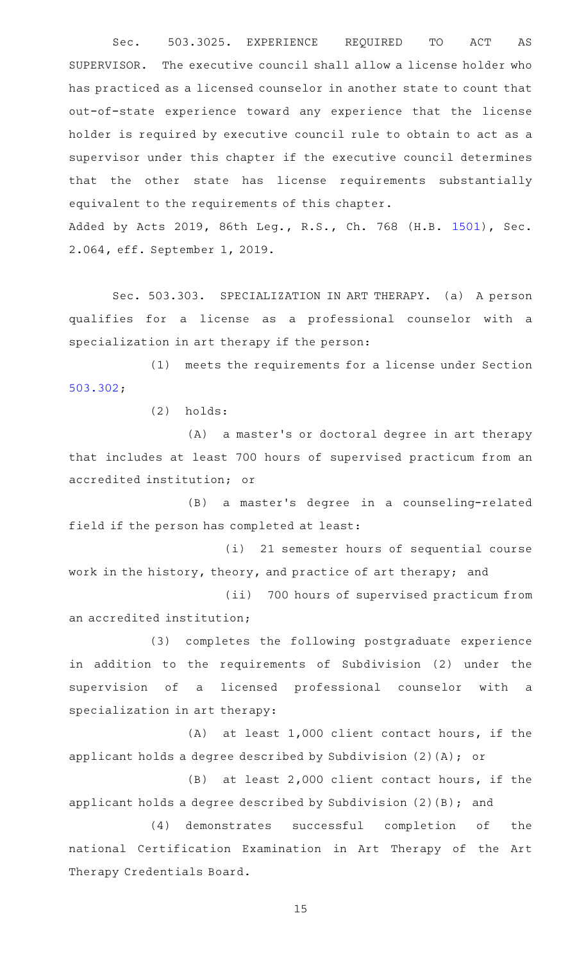Sec. 503.3025. EXPERIENCE REQUIRED TO ACT AS SUPERVISOR. The executive council shall allow a license holder who has practiced as a licensed counselor in another state to count that out-of-state experience toward any experience that the license holder is required by executive council rule to obtain to act as a supervisor under this chapter if the executive council determines that the other state has license requirements substantially equivalent to the requirements of this chapter.

Added by Acts 2019, 86th Leg., R.S., Ch. 768 (H.B. [1501](http://www.legis.state.tx.us/tlodocs/86R/billtext/html/HB01501F.HTM)), Sec. 2.064, eff. September 1, 2019.

Sec. 503.303. SPECIALIZATION IN ART THERAPY. (a) A person qualifies for a license as a professional counselor with a specialization in art therapy if the person:

 $(1)$  meets the requirements for a license under Section [503.302;](http://www.statutes.legis.state.tx.us/GetStatute.aspx?Code=OC&Value=503.302)

 $(2)$  holds:

(A) a master's or doctoral degree in art therapy that includes at least 700 hours of supervised practicum from an accredited institution; or

(B) a master's degree in a counseling-related field if the person has completed at least:

(i) 21 semester hours of sequential course work in the history, theory, and practice of art therapy; and

(ii) 700 hours of supervised practicum from an accredited institution;

(3) completes the following postgraduate experience in addition to the requirements of Subdivision (2) under the supervision of a licensed professional counselor with a specialization in art therapy:

(A) at least  $1,000$  client contact hours, if the applicant holds a degree described by Subdivision (2)(A); or

 $(B)$  at least 2,000 client contact hours, if the applicant holds a degree described by Subdivision (2)(B); and

(4) demonstrates successful completion of the national Certification Examination in Art Therapy of the Art Therapy Credentials Board.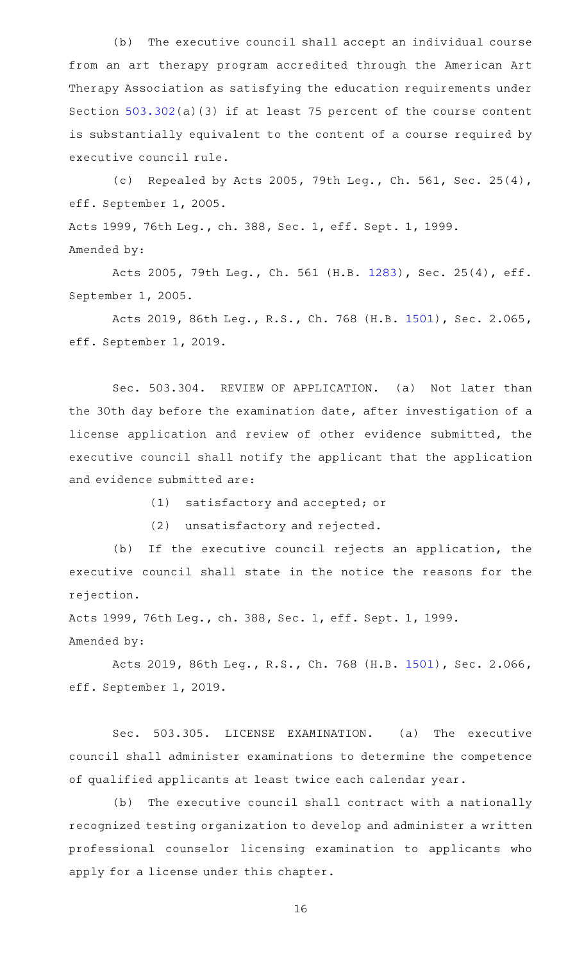(b) The executive council shall accept an individual course from an art therapy program accredited through the American Art Therapy Association as satisfying the education requirements under Section [503.302](http://www.statutes.legis.state.tx.us/GetStatute.aspx?Code=OC&Value=503.302)(a)(3) if at least 75 percent of the course content is substantially equivalent to the content of a course required by executive council rule.

(c) Repealed by Acts 2005, 79th Leg., Ch. 561, Sec. 25(4), eff. September 1, 2005.

Acts 1999, 76th Leg., ch. 388, Sec. 1, eff. Sept. 1, 1999. Amended by:

Acts 2005, 79th Leg., Ch. 561 (H.B. [1283](http://www.legis.state.tx.us/tlodocs/79R/billtext/html/HB01283F.HTM)), Sec. 25(4), eff. September 1, 2005.

Acts 2019, 86th Leg., R.S., Ch. 768 (H.B. [1501\)](http://www.legis.state.tx.us/tlodocs/86R/billtext/html/HB01501F.HTM), Sec. 2.065, eff. September 1, 2019.

Sec. 503.304. REVIEW OF APPLICATION. (a) Not later than the 30th day before the examination date, after investigation of a license application and review of other evidence submitted, the executive council shall notify the applicant that the application and evidence submitted are:

 $(1)$  satisfactory and accepted; or

(2) unsatisfactory and rejected.

(b) If the executive council rejects an application, the executive council shall state in the notice the reasons for the rejection.

Acts 1999, 76th Leg., ch. 388, Sec. 1, eff. Sept. 1, 1999. Amended by:

Acts 2019, 86th Leg., R.S., Ch. 768 (H.B. [1501\)](http://www.legis.state.tx.us/tlodocs/86R/billtext/html/HB01501F.HTM), Sec. 2.066, eff. September 1, 2019.

Sec. 503.305. LICENSE EXAMINATION. (a) The executive council shall administer examinations to determine the competence of qualified applicants at least twice each calendar year.

(b) The executive council shall contract with a nationally recognized testing organization to develop and administer a written professional counselor licensing examination to applicants who apply for a license under this chapter.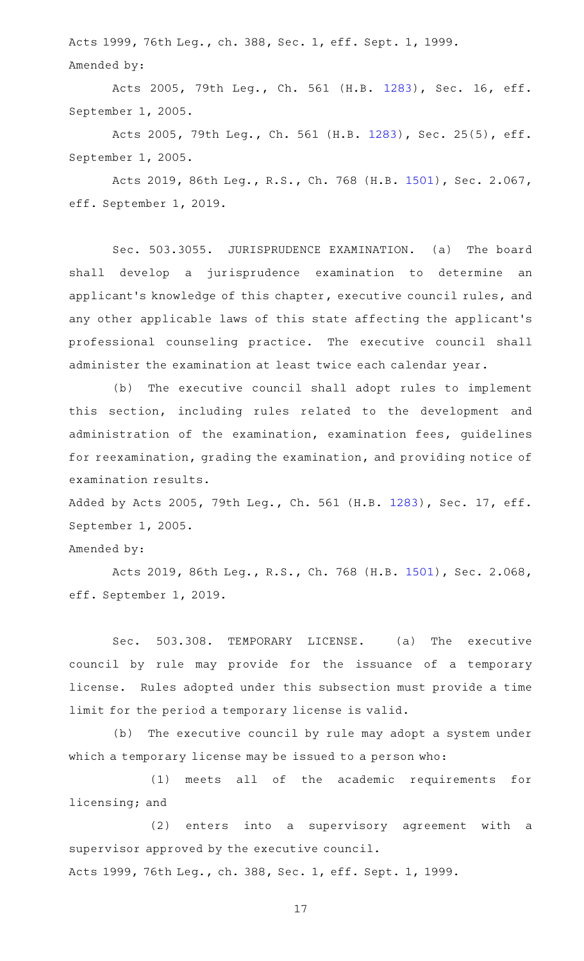Acts 1999, 76th Leg., ch. 388, Sec. 1, eff. Sept. 1, 1999. Amended by:

Acts 2005, 79th Leg., Ch. 561 (H.B. [1283\)](http://www.legis.state.tx.us/tlodocs/79R/billtext/html/HB01283F.HTM), Sec. 16, eff. September 1, 2005.

Acts 2005, 79th Leg., Ch. 561 (H.B. [1283](http://www.legis.state.tx.us/tlodocs/79R/billtext/html/HB01283F.HTM)), Sec. 25(5), eff. September 1, 2005.

Acts 2019, 86th Leg., R.S., Ch. 768 (H.B. [1501\)](http://www.legis.state.tx.us/tlodocs/86R/billtext/html/HB01501F.HTM), Sec. 2.067, eff. September 1, 2019.

Sec. 503.3055. JURISPRUDENCE EXAMINATION. (a) The board shall develop a jurisprudence examination to determine an applicant 's knowledge of this chapter, executive council rules, and any other applicable laws of this state affecting the applicant 's professional counseling practice. The executive council shall administer the examination at least twice each calendar year.

(b) The executive council shall adopt rules to implement this section, including rules related to the development and administration of the examination, examination fees, guidelines for reexamination, grading the examination, and providing notice of examination results.

Added by Acts 2005, 79th Leg., Ch. 561 (H.B. [1283](http://www.legis.state.tx.us/tlodocs/79R/billtext/html/HB01283F.HTM)), Sec. 17, eff. September 1, 2005.

# Amended by:

Acts 2019, 86th Leg., R.S., Ch. 768 (H.B. [1501\)](http://www.legis.state.tx.us/tlodocs/86R/billtext/html/HB01501F.HTM), Sec. 2.068, eff. September 1, 2019.

Sec. 503.308. TEMPORARY LICENSE. (a) The executive council by rule may provide for the issuance of a temporary license. Rules adopted under this subsection must provide a time limit for the period a temporary license is valid.

(b) The executive council by rule may adopt a system under which a temporary license may be issued to a person who:

(1) meets all of the academic requirements for licensing; and

(2) enters into a supervisory agreement with a supervisor approved by the executive council. Acts 1999, 76th Leg., ch. 388, Sec. 1, eff. Sept. 1, 1999.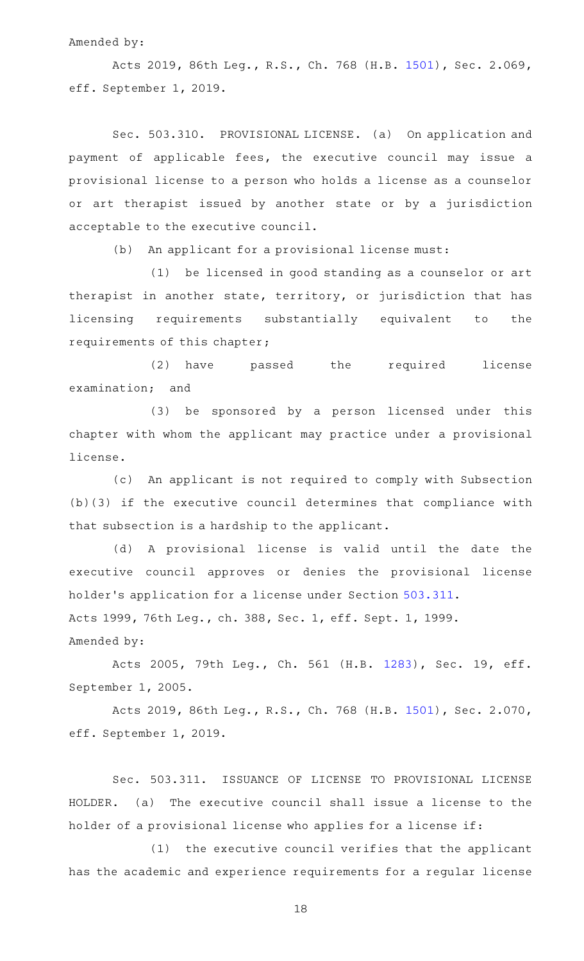### Amended by:

Acts 2019, 86th Leg., R.S., Ch. 768 (H.B. [1501\)](http://www.legis.state.tx.us/tlodocs/86R/billtext/html/HB01501F.HTM), Sec. 2.069, eff. September 1, 2019.

Sec. 503.310. PROVISIONAL LICENSE. (a) On application and payment of applicable fees, the executive council may issue a provisional license to a person who holds a license as a counselor or art therapist issued by another state or by a jurisdiction acceptable to the executive council.

(b) An applicant for a provisional license must:

(1) be licensed in good standing as a counselor or art therapist in another state, territory, or jurisdiction that has licensing requirements substantially equivalent to the requirements of this chapter;

(2) have passed the required license examination; and

(3) be sponsored by a person licensed under this chapter with whom the applicant may practice under a provisional license.

(c) An applicant is not required to comply with Subsection (b)(3) if the executive council determines that compliance with that subsection is a hardship to the applicant.

(d) A provisional license is valid until the date the executive council approves or denies the provisional license holder 's application for a license under Section [503.311](http://www.statutes.legis.state.tx.us/GetStatute.aspx?Code=OC&Value=503.311). Acts 1999, 76th Leg., ch. 388, Sec. 1, eff. Sept. 1, 1999. Amended by:

Acts 2005, 79th Leg., Ch. 561 (H.B. [1283\)](http://www.legis.state.tx.us/tlodocs/79R/billtext/html/HB01283F.HTM), Sec. 19, eff. September 1, 2005.

Acts 2019, 86th Leg., R.S., Ch. 768 (H.B. [1501\)](http://www.legis.state.tx.us/tlodocs/86R/billtext/html/HB01501F.HTM), Sec. 2.070, eff. September 1, 2019.

Sec. 503.311. ISSUANCE OF LICENSE TO PROVISIONAL LICENSE HOLDER. (a) The executive council shall issue a license to the holder of a provisional license who applies for a license if:

(1) the executive council verifies that the applicant has the academic and experience requirements for a regular license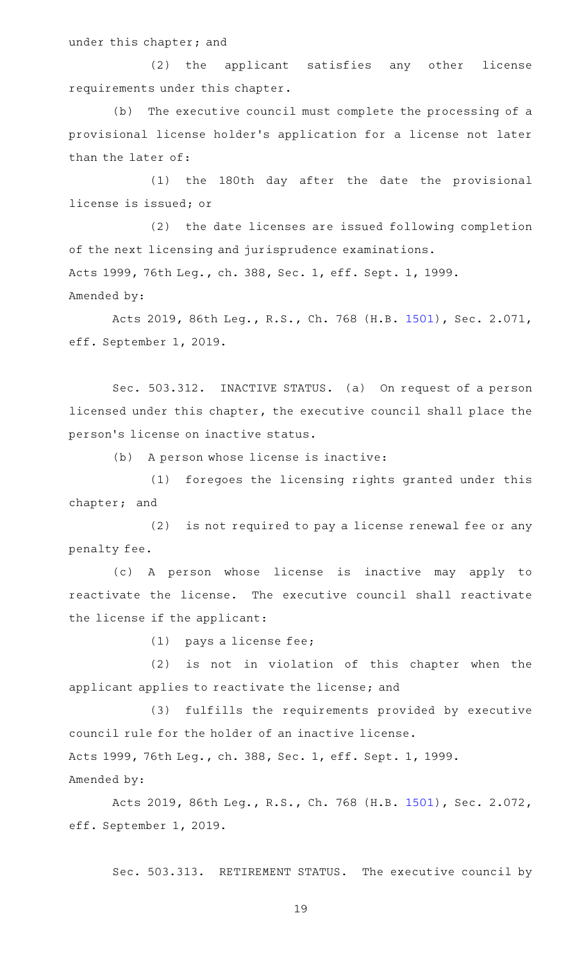under this chapter; and

(2) the applicant satisfies any other license requirements under this chapter.

(b) The executive council must complete the processing of a provisional license holder 's application for a license not later than the later of:

(1) the 180th day after the date the provisional license is issued; or

(2) the date licenses are issued following completion of the next licensing and jurisprudence examinations. Acts 1999, 76th Leg., ch. 388, Sec. 1, eff. Sept. 1, 1999. Amended by:

Acts 2019, 86th Leg., R.S., Ch. 768 (H.B. [1501\)](http://www.legis.state.tx.us/tlodocs/86R/billtext/html/HB01501F.HTM), Sec. 2.071, eff. September 1, 2019.

Sec. 503.312. INACTIVE STATUS. (a) On request of a person licensed under this chapter, the executive council shall place the person's license on inactive status.

(b) A person whose license is inactive:

(1) foregoes the licensing rights granted under this chapter; and

(2) is not required to pay a license renewal fee or any penalty fee.

(c)AAA person whose license is inactive may apply to reactivate the license. The executive council shall reactivate the license if the applicant:

 $(1)$  pays a license fee;

(2) is not in violation of this chapter when the applicant applies to reactivate the license; and

(3) fulfills the requirements provided by executive council rule for the holder of an inactive license. Acts 1999, 76th Leg., ch. 388, Sec. 1, eff. Sept. 1, 1999.

Amended by:

Acts 2019, 86th Leg., R.S., Ch. 768 (H.B. [1501\)](http://www.legis.state.tx.us/tlodocs/86R/billtext/html/HB01501F.HTM), Sec. 2.072, eff. September 1, 2019.

Sec. 503.313. RETIREMENT STATUS. The executive council by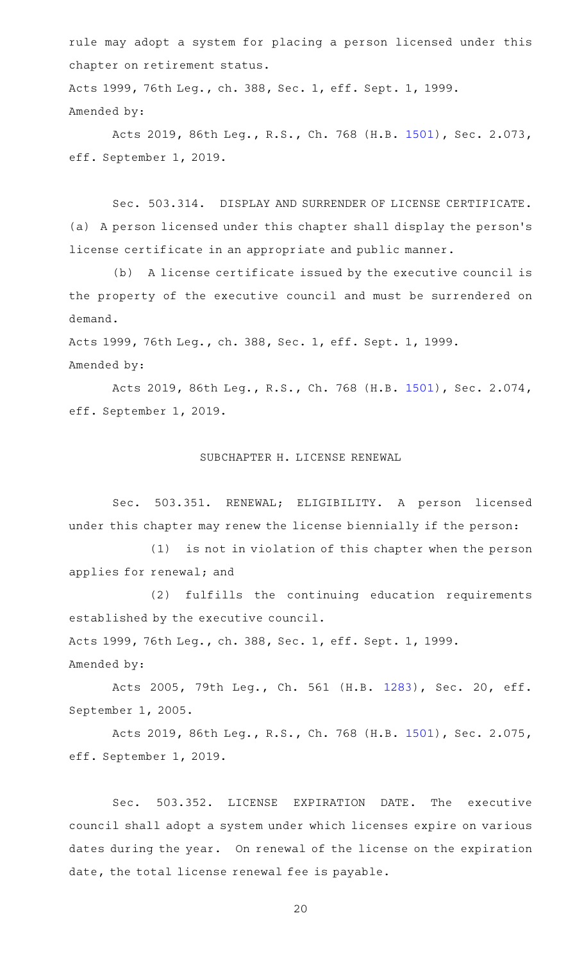rule may adopt a system for placing a person licensed under this chapter on retirement status.

Acts 1999, 76th Leg., ch. 388, Sec. 1, eff. Sept. 1, 1999. Amended by:

Acts 2019, 86th Leg., R.S., Ch. 768 (H.B. [1501\)](http://www.legis.state.tx.us/tlodocs/86R/billtext/html/HB01501F.HTM), Sec. 2.073, eff. September 1, 2019.

Sec. 503.314. DISPLAY AND SURRENDER OF LICENSE CERTIFICATE. (a) A person licensed under this chapter shall display the person 's license certificate in an appropriate and public manner.

(b) A license certificate issued by the executive council is the property of the executive council and must be surrendered on demand.

Acts 1999, 76th Leg., ch. 388, Sec. 1, eff. Sept. 1, 1999. Amended by:

Acts 2019, 86th Leg., R.S., Ch. 768 (H.B. [1501\)](http://www.legis.state.tx.us/tlodocs/86R/billtext/html/HB01501F.HTM), Sec. 2.074, eff. September 1, 2019.

### SUBCHAPTER H. LICENSE RENEWAL

Sec. 503.351. RENEWAL; ELIGIBILITY. A person licensed under this chapter may renew the license biennially if the person:

(1) is not in violation of this chapter when the person applies for renewal; and

(2) fulfills the continuing education requirements established by the executive council.

Acts 1999, 76th Leg., ch. 388, Sec. 1, eff. Sept. 1, 1999.

Amended by:

Acts 2005, 79th Leg., Ch. 561 (H.B. [1283\)](http://www.legis.state.tx.us/tlodocs/79R/billtext/html/HB01283F.HTM), Sec. 20, eff. September 1, 2005.

Acts 2019, 86th Leg., R.S., Ch. 768 (H.B. [1501\)](http://www.legis.state.tx.us/tlodocs/86R/billtext/html/HB01501F.HTM), Sec. 2.075, eff. September 1, 2019.

Sec. 503.352. LICENSE EXPIRATION DATE. The executive council shall adopt a system under which licenses expire on various dates during the year. On renewal of the license on the expiration date, the total license renewal fee is payable.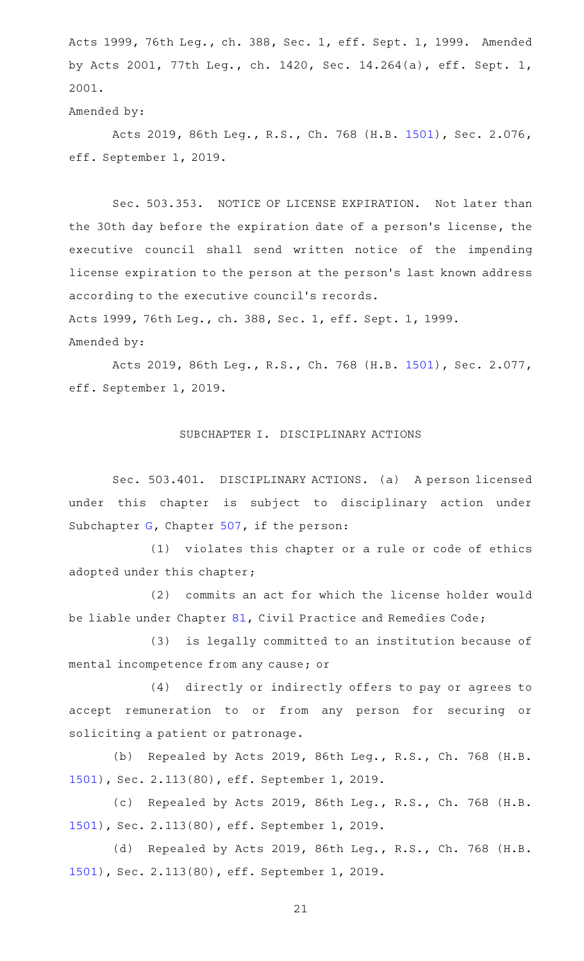Acts 1999, 76th Leg., ch. 388, Sec. 1, eff. Sept. 1, 1999. Amended by Acts 2001, 77th Leg., ch. 1420, Sec. 14.264(a), eff. Sept. 1, 2001.

### Amended by:

Acts 2019, 86th Leg., R.S., Ch. 768 (H.B. [1501\)](http://www.legis.state.tx.us/tlodocs/86R/billtext/html/HB01501F.HTM), Sec. 2.076, eff. September 1, 2019.

Sec. 503.353. NOTICE OF LICENSE EXPIRATION. Not later than the 30th day before the expiration date of a person 's license, the executive council shall send written notice of the impending license expiration to the person at the person's last known address according to the executive council 's records.

Acts 1999, 76th Leg., ch. 388, Sec. 1, eff. Sept. 1, 1999.

Amended by:

Acts 2019, 86th Leg., R.S., Ch. 768 (H.B. [1501\)](http://www.legis.state.tx.us/tlodocs/86R/billtext/html/HB01501F.HTM), Sec. 2.077, eff. September 1, 2019.

## SUBCHAPTER I. DISCIPLINARY ACTIONS

Sec. 503.401. DISCIPLINARY ACTIONS. (a) A person licensed under this chapter is subject to disciplinary action under Subchapter [G](http://www.statutes.legis.state.tx.us/GetStatute.aspx?Code=OC&Value=507.301), Chapter [507](http://www.statutes.legis.state.tx.us/GetStatute.aspx?Code=OC&Value=507), if the person:

(1) violates this chapter or a rule or code of ethics adopted under this chapter;

(2) commits an act for which the license holder would be liable under Chapter [81](http://www.statutes.legis.state.tx.us/GetStatute.aspx?Code=CP&Value=81), Civil Practice and Remedies Code;

(3) is legally committed to an institution because of mental incompetence from any cause; or

(4) directly or indirectly offers to pay or agrees to accept remuneration to or from any person for securing or soliciting a patient or patronage.

(b) Repealed by Acts 2019, 86th Leg., R.S., Ch. 768 (H.B. [1501](http://www.legis.state.tx.us/tlodocs/86R/billtext/html/HB01501F.HTM)), Sec. 2.113(80), eff. September 1, 2019.

(c) Repealed by Acts 2019, 86th Leg., R.S., Ch. 768 (H.B. [1501](http://www.legis.state.tx.us/tlodocs/86R/billtext/html/HB01501F.HTM)), Sec. 2.113(80), eff. September 1, 2019.

(d) Repealed by Acts 2019, 86th Leg., R.S., Ch. 768 (H.B. [1501](http://www.legis.state.tx.us/tlodocs/86R/billtext/html/HB01501F.HTM)), Sec. 2.113(80), eff. September 1, 2019.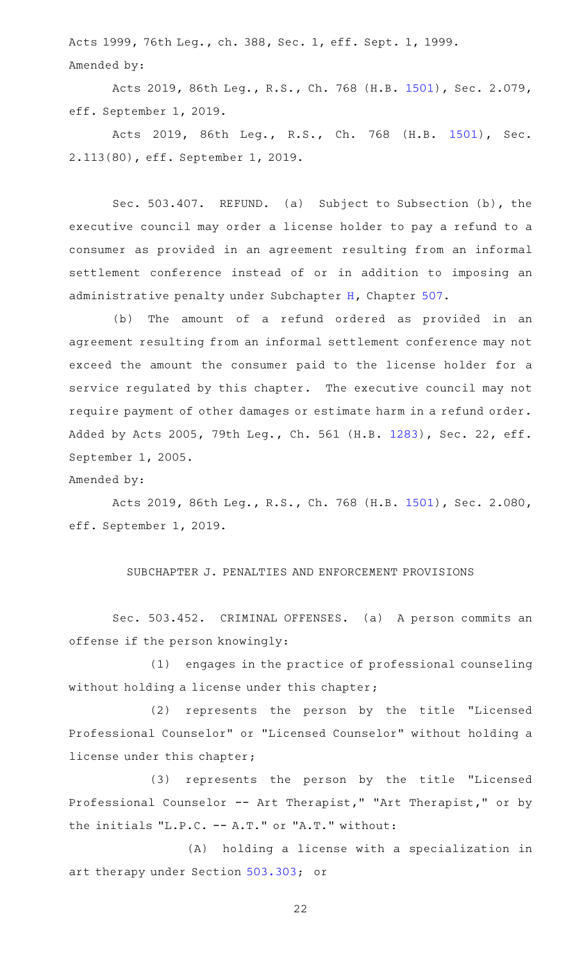Acts 1999, 76th Leg., ch. 388, Sec. 1, eff. Sept. 1, 1999. Amended by:

Acts 2019, 86th Leg., R.S., Ch. 768 (H.B. [1501\)](http://www.legis.state.tx.us/tlodocs/86R/billtext/html/HB01501F.HTM), Sec. 2.079, eff. September 1, 2019.

Acts 2019, 86th Leg., R.S., Ch. 768 (H.B. [1501\)](http://www.legis.state.tx.us/tlodocs/86R/billtext/html/HB01501F.HTM), Sec. 2.113(80), eff. September 1, 2019.

Sec. 503.407. REFUND. (a) Subject to Subsection (b), the executive council may order a license holder to pay a refund to a consumer as provided in an agreement resulting from an informal settlement conference instead of or in addition to imposing an administrative penalty under Subchapter [H](http://www.statutes.legis.state.tx.us/GetStatute.aspx?Code=OC&Value=507.351), Chapter [507](http://www.statutes.legis.state.tx.us/GetStatute.aspx?Code=OC&Value=507).

(b) The amount of a refund ordered as provided in an agreement resulting from an informal settlement conference may not exceed the amount the consumer paid to the license holder for a service regulated by this chapter. The executive council may not require payment of other damages or estimate harm in a refund order. Added by Acts 2005, 79th Leg., Ch. 561 (H.B. [1283](http://www.legis.state.tx.us/tlodocs/79R/billtext/html/HB01283F.HTM)), Sec. 22, eff. September 1, 2005.

Amended by:

Acts 2019, 86th Leg., R.S., Ch. 768 (H.B. [1501\)](http://www.legis.state.tx.us/tlodocs/86R/billtext/html/HB01501F.HTM), Sec. 2.080, eff. September 1, 2019.

### SUBCHAPTER J. PENALTIES AND ENFORCEMENT PROVISIONS

Sec. 503.452. CRIMINAL OFFENSES. (a) A person commits an offense if the person knowingly:

(1) engages in the practice of professional counseling without holding a license under this chapter;

(2) represents the person by the title "Licensed Professional Counselor" or "Licensed Counselor" without holding a license under this chapter;

(3) represents the person by the title "Licensed Professional Counselor -- Art Therapist," "Art Therapist," or by the initials "L.P.C. -- A.T." or "A.T." without:

(A) holding a license with a specialization in art therapy under Section [503.303](http://www.statutes.legis.state.tx.us/GetStatute.aspx?Code=OC&Value=503.303); or